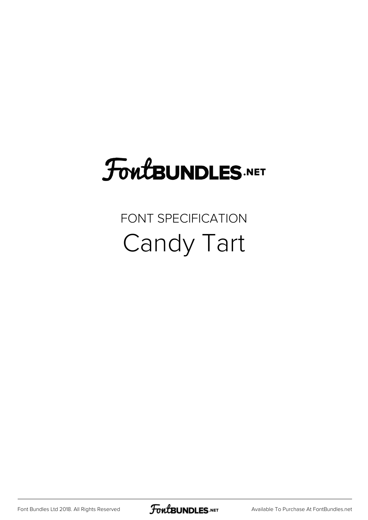# **FoutBUNDLES.NET**

### FONT SPECIFICATION Candy Tart

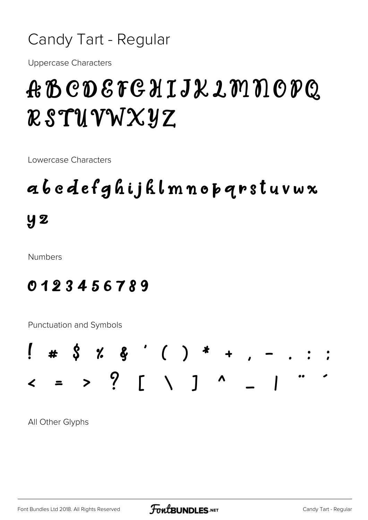#### Candy Tart - Regular

Uppercase Characters

## ABCDEFGHIJKLMNOPQ RSTUVWXYZ

Lowercase Characters

## abcdefghijklmnopqrstuvwx  $y<sub>2</sub>$

Numbers

#### 0123456789

Punctuation and Symbols



All Other Glyphs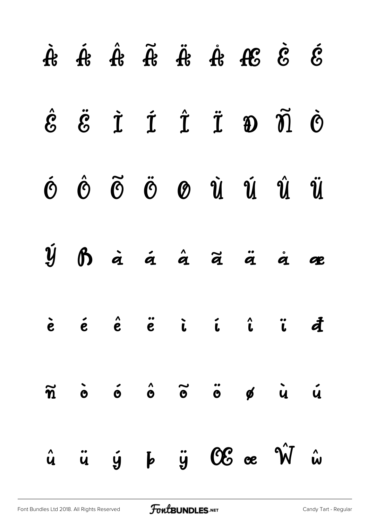|  |  |  | $\begin{array}{ccccccccccccc} \mathring{A} & \mathring{A} & \mathring{A} & \mathring{A} & \mathring{A} & \mathring{A} & \mathring{A} & \mathring{A} & \mathring{A} & \mathring{A} & \mathring{A} & \mathring{A} & \mathring{A} & \mathring{A} & \mathring{A} & \mathring{A} & \mathring{A} & \mathring{A} & \mathring{A} & \mathring{A} & \mathring{A} & \mathring{A} & \mathring{A} & \mathring{A} & \mathring{A} & \mathring{A} & \mathring{A} & \mathring{A} & \mathring{A} & \mathring{A} &$ |  |
|--|--|--|--------------------------------------------------------------------------------------------------------------------------------------------------------------------------------------------------------------------------------------------------------------------------------------------------------------------------------------------------------------------------------------------------------------------------------------------------------------------------------------------------|--|
|  |  |  | $\hat{E}$ $\ddot{E}$ $\dot{I}$ $\dot{I}$ $\ddot{I}$ $\ddot{D}$ $\ddot{0}$                                                                                                                                                                                                                                                                                                                                                                                                                        |  |
|  |  |  | $\acute{\sigma}$ $\acute{\sigma}$ $\ddot{\sigma}$ $\acute{\sigma}$ $\acute{\sigma}$ $\acute{\sigma}$ $\acute{\u}$ $\acute{\u}$ $\acute{\u}$ $\acute{\u}$                                                                                                                                                                                                                                                                                                                                         |  |
|  |  |  | $\dot{\mathfrak{Y}}$ $\mathfrak{H}$ a a a a a $\ddot{\mathfrak{a}}$ a $\ddot{\mathfrak{a}}$ a $\ddot{\mathfrak{a}}$ a $\mathfrak{a}$                                                                                                                                                                                                                                                                                                                                                             |  |
|  |  |  | è é é ë i í î ï đ                                                                                                                                                                                                                                                                                                                                                                                                                                                                                |  |
|  |  |  |                                                                                                                                                                                                                                                                                                                                                                                                                                                                                                  |  |
|  |  |  | $\hat{u}$ $\ddot{u}$ $\dot{y}$ $\ddot{b}$ $\ddot{y}$ $\mathbb{C}\mathcal{E}$ or $\hat{W}$ $\hat{w}$                                                                                                                                                                                                                                                                                                                                                                                              |  |